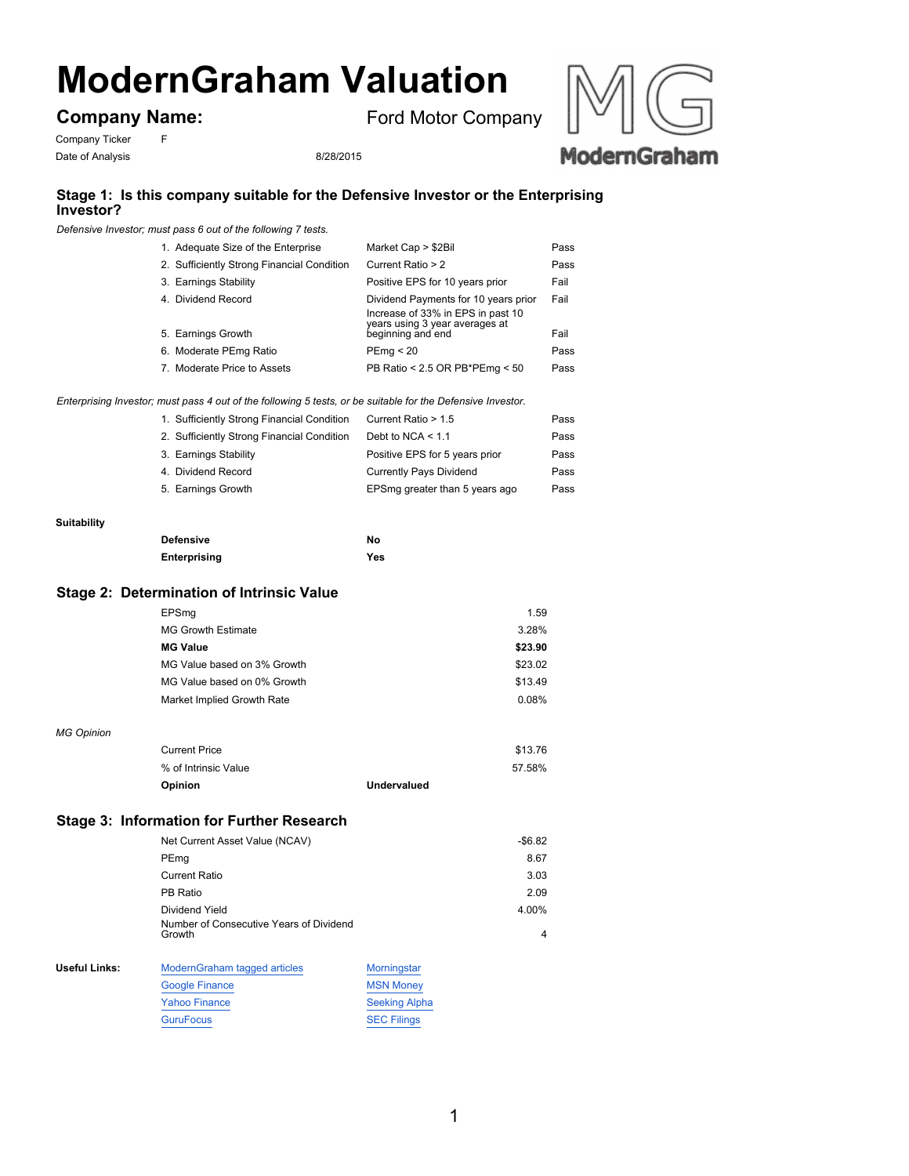# **ModernGraham Valuation**

**Company Name:**

Ford Motor Company

Company Ticker F Date of Analysis 8/28/2015



## **Stage 1: Is this company suitable for the Defensive Investor or the Enterprising Investor?**

*Defensive Investor; must pass 6 out of the following 7 tests.*

| 1. Adequate Size of the Enterprise         | Market Cap > \$2Bil                                                                                         | Pass |
|--------------------------------------------|-------------------------------------------------------------------------------------------------------------|------|
| 2. Sufficiently Strong Financial Condition | Current Ratio > 2                                                                                           | Pass |
| 3. Earnings Stability                      | Positive EPS for 10 years prior                                                                             | Fail |
| 4. Dividend Record                         | Dividend Payments for 10 years prior<br>Increase of 33% in EPS in past 10<br>years using 3 year averages at | Fail |
| 5. Earnings Growth                         | beginning and end                                                                                           | Fail |
| 6. Moderate PEmg Ratio                     | PEmq < 20                                                                                                   | Pass |
| 7. Moderate Price to Assets                | PB Ratio < 2.5 OR PB*PEmg < 50                                                                              | Pass |

*Enterprising Investor; must pass 4 out of the following 5 tests, or be suitable for the Defensive Investor.*

| 1. Sufficiently Strong Financial Condition | Current Ratio > 1.5            | Pass |
|--------------------------------------------|--------------------------------|------|
| 2. Sufficiently Strong Financial Condition | Debt to NCA $<$ 1.1            | Pass |
| 3. Earnings Stability                      | Positive EPS for 5 years prior | Pass |
| 4. Dividend Record                         | <b>Currently Pays Dividend</b> | Pass |
| 5. Earnings Growth                         | EPSmg greater than 5 years ago | Pass |
|                                            |                                |      |

#### **Suitability**

| <b>Defensive</b> | Nο  |
|------------------|-----|
| Enterprising     | Yes |

### **Stage 2: Determination of Intrinsic Value**

|                      | EPSmq                                             |                    | 1.59     |
|----------------------|---------------------------------------------------|--------------------|----------|
|                      | <b>MG Growth Estimate</b>                         |                    | 3.28%    |
|                      | <b>MG Value</b>                                   |                    | \$23.90  |
|                      | MG Value based on 3% Growth                       |                    | \$23.02  |
|                      | MG Value based on 0% Growth                       |                    | \$13.49  |
|                      | Market Implied Growth Rate                        |                    | 0.08%    |
| <b>MG Opinion</b>    |                                                   |                    |          |
|                      | <b>Current Price</b>                              |                    | \$13.76  |
|                      | % of Intrinsic Value                              |                    | 57.58%   |
|                      | Opinion                                           | <b>Undervalued</b> |          |
|                      | <b>Stage 3: Information for Further Research</b>  |                    |          |
|                      | Net Current Asset Value (NCAV)                    |                    | $-$6.82$ |
|                      | PEmg                                              |                    | 8.67     |
|                      | <b>Current Ratio</b>                              |                    | 3.03     |
|                      | PB Ratio                                          |                    | 2.09     |
|                      | Dividend Yield                                    |                    | 4.00%    |
|                      | Number of Consecutive Years of Dividend<br>Growth |                    | 4        |
| <b>Useful Links:</b> | ModernGraham tagged articles                      | Morningstar        |          |
|                      | <b>Google Finance</b>                             | <b>MSN Money</b>   |          |

| <b>Google Finance</b> | <b>MSN Monev</b>     |
|-----------------------|----------------------|
| <b>Yahoo Finance</b>  | <b>Seeking Alpha</b> |
| <b>GuruFocus</b>      | <b>SEC Filings</b>   |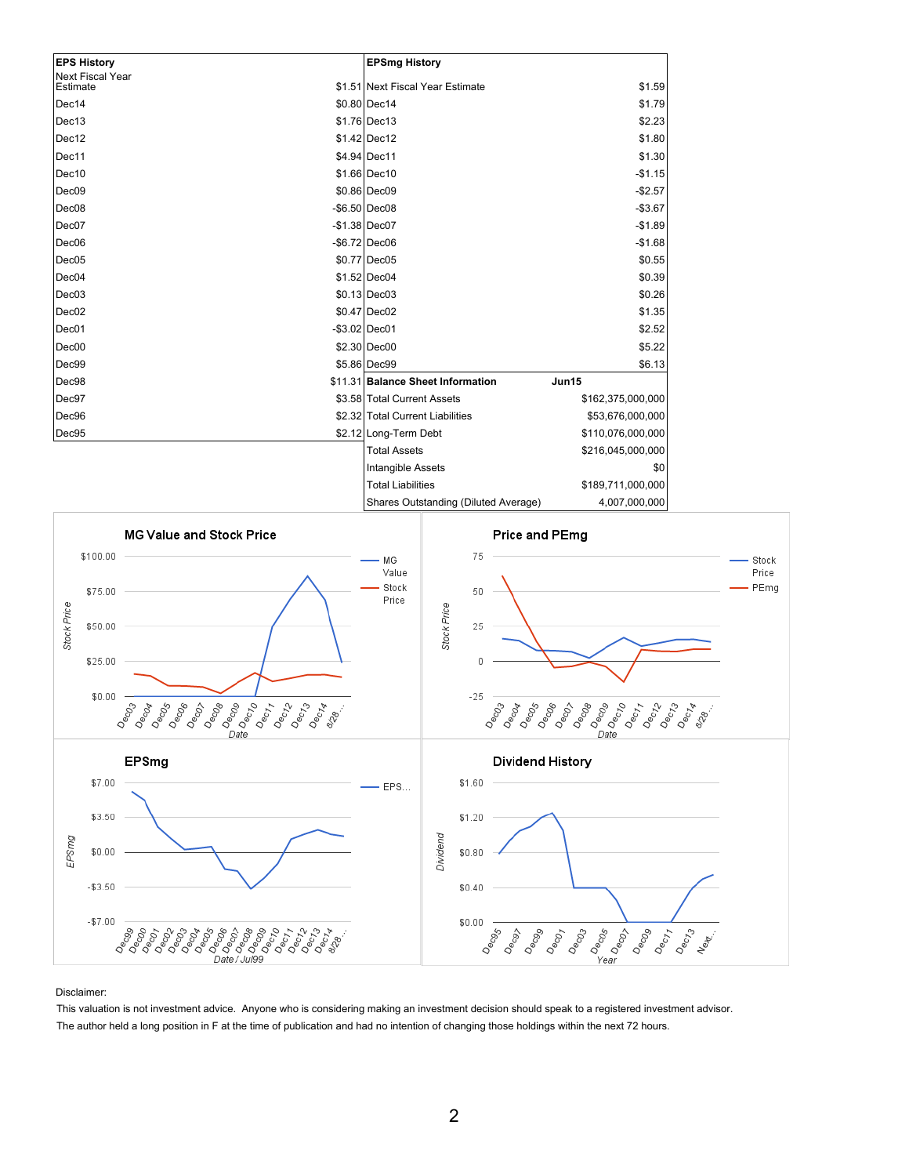| <b>EPS History</b>                  | <b>EPSmg History</b>              |                   |
|-------------------------------------|-----------------------------------|-------------------|
| <b>Next Fiscal Year</b><br>Estimate | \$1.51 Next Fiscal Year Estimate  | \$1.59            |
| Dec14                               | \$0.80 Dec14                      | \$1.79            |
|                                     |                                   |                   |
| Dec13                               | $$1.76 $ Dec13                    | \$2.23            |
| Dec12                               | $$1.42$ Dec12                     | \$1.80            |
| Dec11                               | \$4.94 Dec11                      | \$1.30            |
| Dec10                               | \$1.66 Dec10                      | $-$1.15$          |
| Dec <sub>09</sub>                   | \$0.86 Dec09                      | $-$2.57$          |
| Dec <sub>08</sub>                   | $-$ \$6.50 Dec08                  | $-$3.67$          |
| Dec07                               | $-$1.38 Dec07$                    | $-$1.89$          |
| Dec <sub>06</sub>                   | $-$ \$6.72 Dec06                  | $-$1.68$          |
| Dec05                               | \$0.77 Dec05                      | \$0.55            |
| Dec04                               | $$1.52$ Dec04                     | \$0.39            |
| Dec03                               | $$0.13$ Dec03                     | \$0.26            |
| Dec02                               | \$0.47 Dec02                      | \$1.35            |
| Dec01                               | $-$ \$3.02 Dec01                  | \$2.52            |
| Dec00                               | \$2.30 Dec00                      | \$5.22            |
| Dec99                               | \$5.86 Dec99                      | \$6.13            |
| Dec98                               | \$11.31 Balance Sheet Information | Jun15             |
| Dec97                               | \$3.58 Total Current Assets       | \$162,375,000,000 |
| Dec96                               | \$2.32 Total Current Liabilities  | \$53,676,000,000  |
| Dec95                               | \$2.12 Long-Term Debt             | \$110,076,000,000 |
|                                     | <b>Total Assets</b>               | \$216,045,000,000 |
|                                     | <b>Intangible Assets</b>          | \$0               |
|                                     | <b>Total Liabilities</b>          | \$189,711,000,000 |
|                                     |                                   |                   |



Disclaimer:

This valuation is not investment advice. Anyone who is considering making an investment decision should speak to a registered investment advisor. The author held a long position in F at the time of publication and had no intention of changing those holdings within the next 72 hours.